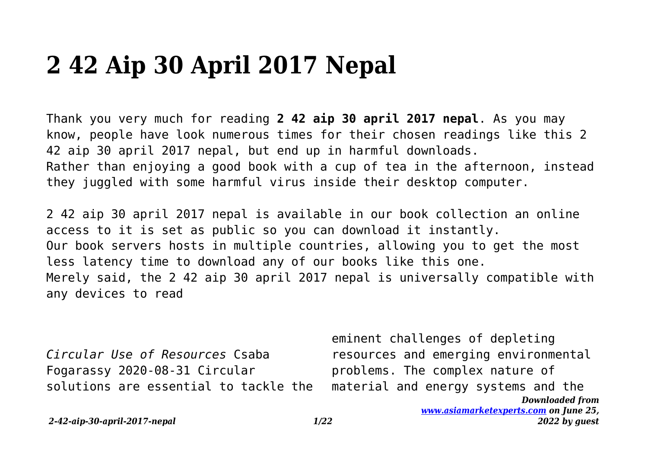## **2 42 Aip 30 April 2017 Nepal**

Thank you very much for reading **2 42 aip 30 april 2017 nepal**. As you may know, people have look numerous times for their chosen readings like this 2 42 aip 30 april 2017 nepal, but end up in harmful downloads. Rather than enjoying a good book with a cup of tea in the afternoon, instead they juggled with some harmful virus inside their desktop computer.

2 42 aip 30 april 2017 nepal is available in our book collection an online access to it is set as public so you can download it instantly. Our book servers hosts in multiple countries, allowing you to get the most less latency time to download any of our books like this one. Merely said, the 2 42 aip 30 april 2017 nepal is universally compatible with any devices to read

*Circular Use of Resources* Csaba Fogarassy 2020-08-31 Circular solutions are essential to tackle the

*Downloaded from* eminent challenges of depleting resources and emerging environmental problems. The complex nature of material and energy systems and the

*[www.asiamarketexperts.com](https://www.asiamarketexperts.com) on June 25, 2022 by guest*

*2-42-aip-30-april-2017-nepal 1/22*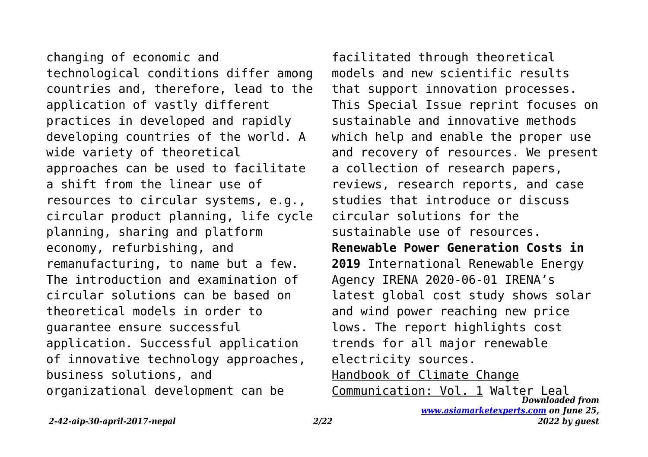changing of economic and technological conditions differ among countries and, therefore, lead to the application of vastly different practices in developed and rapidly developing countries of the world. A wide variety of theoretical approaches can be used to facilitate a shift from the linear use of resources to circular systems, e.g., circular product planning, life cycle planning, sharing and platform economy, refurbishing, and remanufacturing, to name but a few. The introduction and examination of circular solutions can be based on theoretical models in order to guarantee ensure successful application. Successful application of innovative technology approaches, business solutions, and organizational development can be

facilitated through theoretical models and new scientific results that support innovation processes. This Special Issue reprint focuses on sustainable and innovative methods which help and enable the proper use and recovery of resources. We present a collection of research papers, reviews, research reports, and case studies that introduce or discuss circular solutions for the sustainable use of resources. **Renewable Power Generation Costs in 2019** International Renewable Energy Agency IRENA 2020-06-01 IRENA's latest global cost study shows solar and wind power reaching new price lows. The report highlights cost trends for all major renewable electricity sources. Handbook of Climate Change Communication: Vol. 1 Walter Leal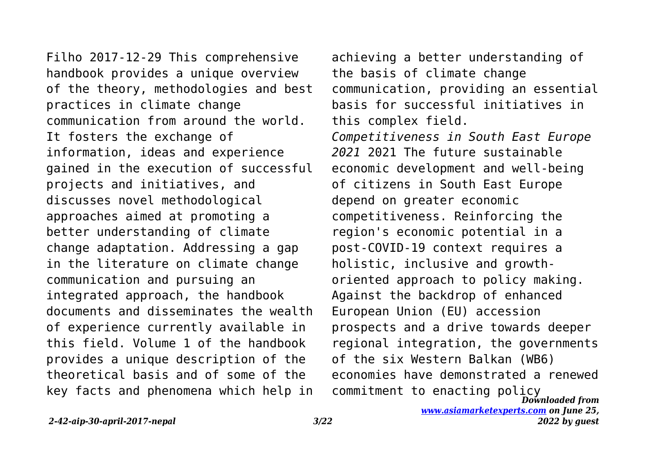Filho 2017-12-29 This comprehensive handbook provides a unique overview of the theory, methodologies and best practices in climate change communication from around the world. It fosters the exchange of information, ideas and experience gained in the execution of successful projects and initiatives, and discusses novel methodological approaches aimed at promoting a better understanding of climate change adaptation. Addressing a gap in the literature on climate change communication and pursuing an integrated approach, the handbook documents and disseminates the wealth of experience currently available in this field. Volume 1 of the handbook provides a unique description of the theoretical basis and of some of the key facts and phenomena which help in

*Downloaded from* achieving a better understanding of the basis of climate change communication, providing an essential basis for successful initiatives in this complex field. *Competitiveness in South East Europe 2021* 2021 The future sustainable economic development and well-being of citizens in South East Europe depend on greater economic competitiveness. Reinforcing the region's economic potential in a post-COVID-19 context requires a holistic, inclusive and growthoriented approach to policy making. Against the backdrop of enhanced European Union (EU) accession prospects and a drive towards deeper regional integration, the governments of the six Western Balkan (WB6) economies have demonstrated a renewed commitment to enacting policy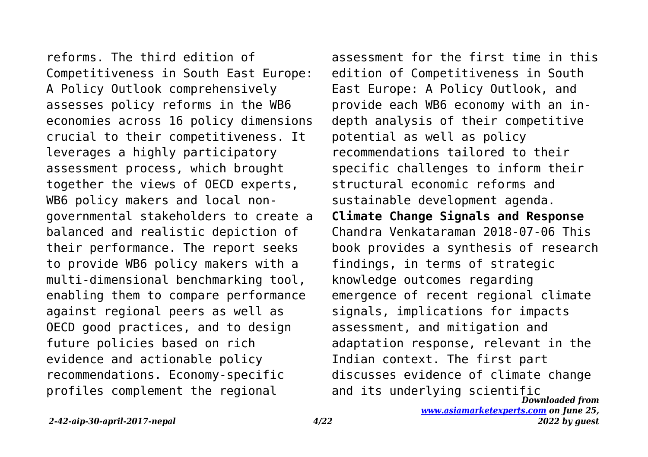reforms. The third edition of Competitiveness in South East Europe: A Policy Outlook comprehensively assesses policy reforms in the WB6 economies across 16 policy dimensions crucial to their competitiveness. It leverages a highly participatory assessment process, which brought together the views of OECD experts, WB6 policy makers and local nongovernmental stakeholders to create a balanced and realistic depiction of their performance. The report seeks to provide WB6 policy makers with a multi-dimensional benchmarking tool, enabling them to compare performance against regional peers as well as OECD good practices, and to design future policies based on rich evidence and actionable policy recommendations. Economy-specific profiles complement the regional

*Downloaded from* assessment for the first time in this edition of Competitiveness in South East Europe: A Policy Outlook, and provide each WB6 economy with an indepth analysis of their competitive potential as well as policy recommendations tailored to their specific challenges to inform their structural economic reforms and sustainable development agenda. **Climate Change Signals and Response** Chandra Venkataraman 2018-07-06 This book provides a synthesis of research findings, in terms of strategic knowledge outcomes regarding emergence of recent regional climate signals, implications for impacts assessment, and mitigation and adaptation response, relevant in the Indian context. The first part discusses evidence of climate change and its underlying scientific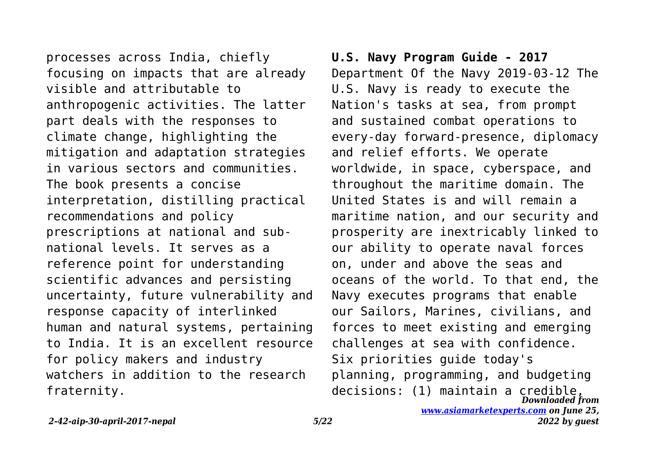processes across India, chiefly focusing on impacts that are already visible and attributable to anthropogenic activities. The latter part deals with the responses to climate change, highlighting the mitigation and adaptation strategies in various sectors and communities. The book presents a concise interpretation, distilling practical recommendations and policy prescriptions at national and subnational levels. It serves as a reference point for understanding scientific advances and persisting uncertainty, future vulnerability and response capacity of interlinked human and natural systems, pertaining to India. It is an excellent resource for policy makers and industry watchers in addition to the research fraternity.

## **U.S. Navy Program Guide - 2017**

*Downloaded from* Department Of the Navy 2019-03-12 The U.S. Navy is ready to execute the Nation's tasks at sea, from prompt and sustained combat operations to every-day forward-presence, diplomacy and relief efforts. We operate worldwide, in space, cyberspace, and throughout the maritime domain. The United States is and will remain a maritime nation, and our security and prosperity are inextricably linked to our ability to operate naval forces on, under and above the seas and oceans of the world. To that end, the Navy executes programs that enable our Sailors, Marines, civilians, and forces to meet existing and emerging challenges at sea with confidence. Six priorities guide today's planning, programming, and budgeting decisions: (1) maintain a credible,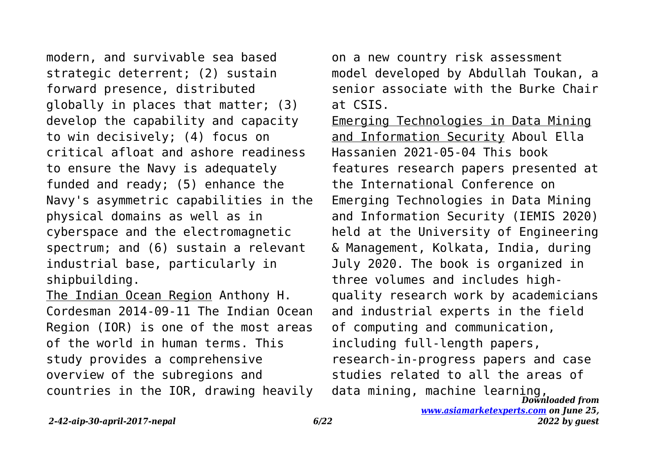modern, and survivable sea based strategic deterrent; (2) sustain forward presence, distributed globally in places that matter; (3) develop the capability and capacity to win decisively; (4) focus on critical afloat and ashore readiness to ensure the Navy is adequately funded and ready; (5) enhance the Navy's asymmetric capabilities in the physical domains as well as in cyberspace and the electromagnetic spectrum; and (6) sustain a relevant industrial base, particularly in shipbuilding.

The Indian Ocean Region Anthony H. Cordesman 2014-09-11 The Indian Ocean Region (IOR) is one of the most areas of the world in human terms. This study provides a comprehensive overview of the subregions and countries in the IOR, drawing heavily on a new country risk assessment model developed by Abdullah Toukan, a senior associate with the Burke Chair at CSIS.

*Downloaded from* Emerging Technologies in Data Mining and Information Security Aboul Ella Hassanien 2021-05-04 This book features research papers presented at the International Conference on Emerging Technologies in Data Mining and Information Security (IEMIS 2020) held at the University of Engineering & Management, Kolkata, India, during July 2020. The book is organized in three volumes and includes highquality research work by academicians and industrial experts in the field of computing and communication, including full-length papers, research-in-progress papers and case studies related to all the areas of data mining, machine learning,

*[www.asiamarketexperts.com](https://www.asiamarketexperts.com) on June 25, 2022 by guest*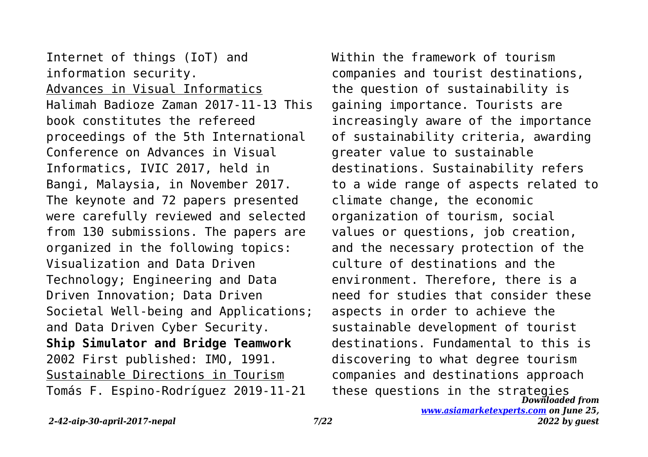Internet of things (IoT) and information security. Advances in Visual Informatics Halimah Badioze Zaman 2017-11-13 This book constitutes the refereed proceedings of the 5th International Conference on Advances in Visual Informatics, IVIC 2017, held in Bangi, Malaysia, in November 2017. The keynote and 72 papers presented were carefully reviewed and selected from 130 submissions. The papers are organized in the following topics: Visualization and Data Driven Technology; Engineering and Data Driven Innovation; Data Driven Societal Well-being and Applications; and Data Driven Cyber Security. **Ship Simulator and Bridge Teamwork** 2002 First published: IMO, 1991. Sustainable Directions in Tourism Tomás F. Espino-Rodríguez 2019-11-21

*Downloaded from* Within the framework of tourism companies and tourist destinations, the question of sustainability is gaining importance. Tourists are increasingly aware of the importance of sustainability criteria, awarding greater value to sustainable destinations. Sustainability refers to a wide range of aspects related to climate change, the economic organization of tourism, social values or questions, job creation, and the necessary protection of the culture of destinations and the environment. Therefore, there is a need for studies that consider these aspects in order to achieve the sustainable development of tourist destinations. Fundamental to this is discovering to what degree tourism companies and destinations approach these questions in the strategies

```
www.asiamarketexperts.com on June 25,
            2022 by guest
```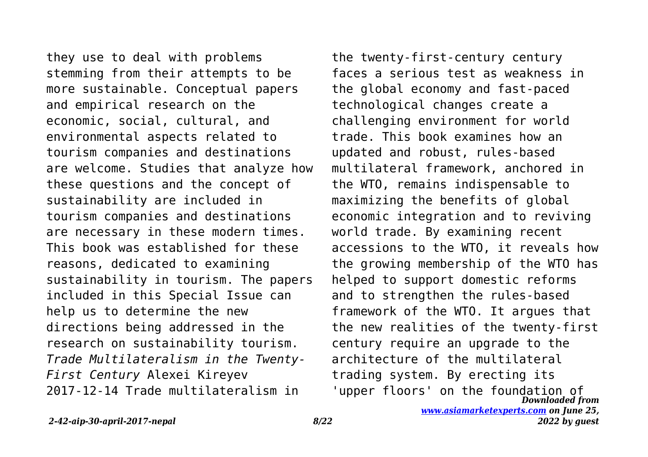they use to deal with problems stemming from their attempts to be more sustainable. Conceptual papers and empirical research on the economic, social, cultural, and environmental aspects related to tourism companies and destinations are welcome. Studies that analyze how these questions and the concept of sustainability are included in tourism companies and destinations are necessary in these modern times. This book was established for these reasons, dedicated to examining sustainability in tourism. The papers included in this Special Issue can help us to determine the new directions being addressed in the research on sustainability tourism. *Trade Multilateralism in the Twenty-First Century* Alexei Kireyev 2017-12-14 Trade multilateralism in

*Downloaded from* the twenty-first-century century faces a serious test as weakness in the global economy and fast-paced technological changes create a challenging environment for world trade. This book examines how an updated and robust, rules-based multilateral framework, anchored in the WTO, remains indispensable to maximizing the benefits of global economic integration and to reviving world trade. By examining recent accessions to the WTO, it reveals how the growing membership of the WTO has helped to support domestic reforms and to strengthen the rules-based framework of the WTO. It argues that the new realities of the twenty-first century require an upgrade to the architecture of the multilateral trading system. By erecting its 'upper floors' on the foundation of

*[www.asiamarketexperts.com](https://www.asiamarketexperts.com) on June 25, 2022 by guest*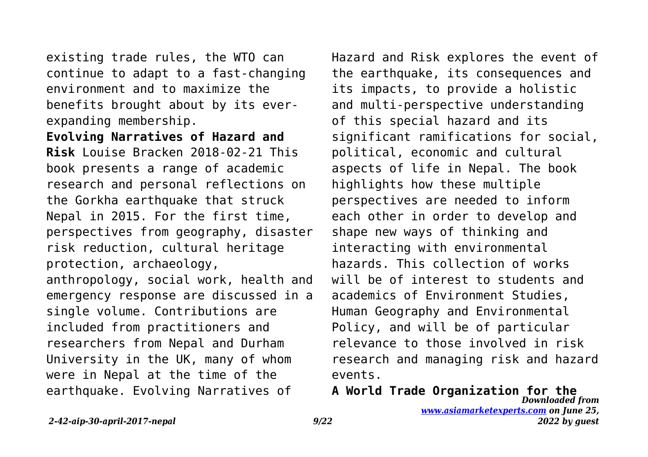existing trade rules, the WTO can continue to adapt to a fast-changing environment and to maximize the benefits brought about by its everexpanding membership.

**Evolving Narratives of Hazard and Risk** Louise Bracken 2018-02-21 This book presents a range of academic research and personal reflections on the Gorkha earthquake that struck Nepal in 2015. For the first time, perspectives from geography, disaster risk reduction, cultural heritage protection, archaeology, anthropology, social work, health and emergency response are discussed in a single volume. Contributions are included from practitioners and researchers from Nepal and Durham University in the UK, many of whom were in Nepal at the time of the earthquake. Evolving Narratives of

Hazard and Risk explores the event of the earthquake, its consequences and its impacts, to provide a holistic and multi-perspective understanding of this special hazard and its significant ramifications for social, political, economic and cultural aspects of life in Nepal. The book highlights how these multiple perspectives are needed to inform each other in order to develop and shape new ways of thinking and interacting with environmental hazards. This collection of works will be of interest to students and academics of Environment Studies, Human Geography and Environmental Policy, and will be of particular relevance to those involved in risk research and managing risk and hazard events.

*Downloaded from [www.asiamarketexperts.com](https://www.asiamarketexperts.com) on June 25, 2022 by guest* **A World Trade Organization for the**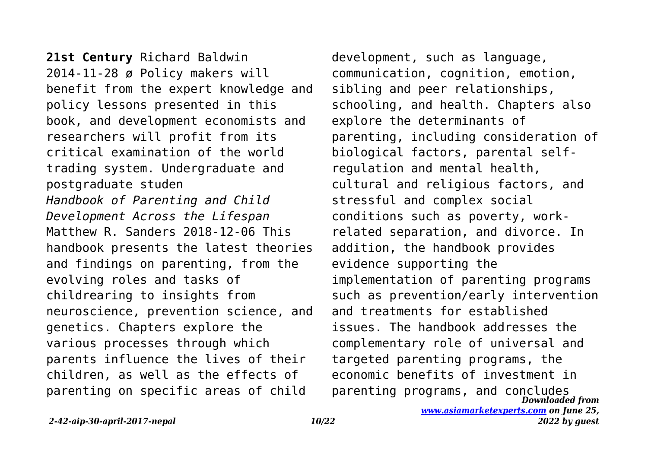**21st Century** Richard Baldwin 2014-11-28 ø Policy makers will benefit from the expert knowledge and policy lessons presented in this book, and development economists and researchers will profit from its critical examination of the world trading system. Undergraduate and postgraduate studen *Handbook of Parenting and Child Development Across the Lifespan* Matthew R. Sanders 2018-12-06 This handbook presents the latest theories and findings on parenting, from the evolving roles and tasks of childrearing to insights from neuroscience, prevention science, and genetics. Chapters explore the various processes through which parents influence the lives of their children, as well as the effects of parenting on specific areas of child

*Downloaded from* development, such as language, communication, cognition, emotion, sibling and peer relationships, schooling, and health. Chapters also explore the determinants of parenting, including consideration of biological factors, parental selfregulation and mental health, cultural and religious factors, and stressful and complex social conditions such as poverty, workrelated separation, and divorce. In addition, the handbook provides evidence supporting the implementation of parenting programs such as prevention/early intervention and treatments for established issues. The handbook addresses the complementary role of universal and targeted parenting programs, the economic benefits of investment in parenting programs, and concludes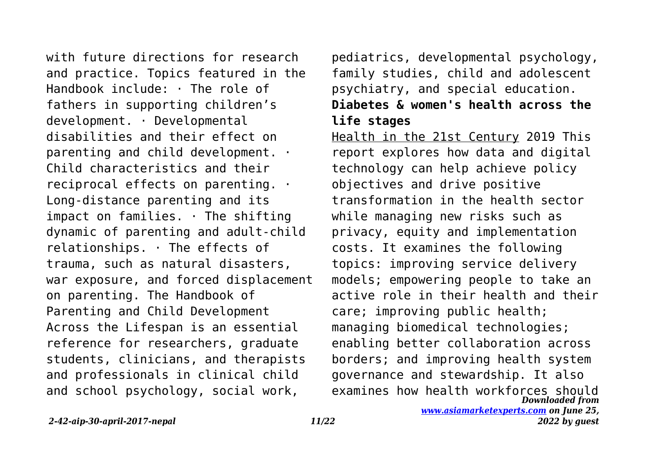with future directions for research and practice. Topics featured in the Handbook include: · The role of fathers in supporting children's development. · Developmental disabilities and their effect on parenting and child development. · Child characteristics and their reciprocal effects on parenting. · Long-distance parenting and its impact on families.  $\cdot$  The shifting dynamic of parenting and adult-child relationships. · The effects of trauma, such as natural disasters, war exposure, and forced displacement on parenting. The Handbook of Parenting and Child Development Across the Lifespan is an essential reference for researchers, graduate students, clinicians, and therapists and professionals in clinical child and school psychology, social work,

pediatrics, developmental psychology, family studies, child and adolescent psychiatry, and special education. **Diabetes & women's health across the**

## **life stages**

*Downloaded from* Health in the 21st Century 2019 This report explores how data and digital technology can help achieve policy objectives and drive positive transformation in the health sector while managing new risks such as privacy, equity and implementation costs. It examines the following topics: improving service delivery models; empowering people to take an active role in their health and their care; improving public health; managing biomedical technologies; enabling better collaboration across borders; and improving health system governance and stewardship. It also examines how health workforces should

*[www.asiamarketexperts.com](https://www.asiamarketexperts.com) on June 25, 2022 by guest*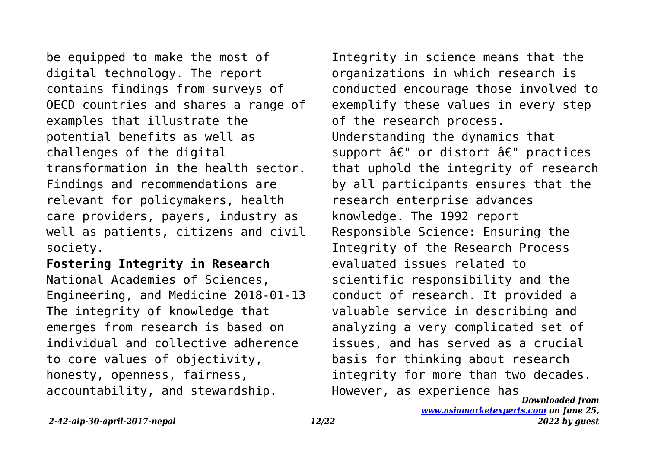be equipped to make the most of digital technology. The report contains findings from surveys of OECD countries and shares a range of examples that illustrate the potential benefits as well as challenges of the digital transformation in the health sector. Findings and recommendations are relevant for policymakers, health care providers, payers, industry as well as patients, citizens and civil society.

**Fostering Integrity in Research** National Academies of Sciences, Engineering, and Medicine 2018-01-13 The integrity of knowledge that emerges from research is based on individual and collective adherence to core values of objectivity, honesty, openness, fairness, accountability, and stewardship.

*Downloaded from* Integrity in science means that the organizations in which research is conducted encourage those involved to exemplify these values in every step of the research process. Understanding the dynamics that support â€" or distort â€" practices that uphold the integrity of research by all participants ensures that the research enterprise advances knowledge. The 1992 report Responsible Science: Ensuring the Integrity of the Research Process evaluated issues related to scientific responsibility and the conduct of research. It provided a valuable service in describing and analyzing a very complicated set of issues, and has served as a crucial basis for thinking about research integrity for more than two decades. However, as experience has

*[www.asiamarketexperts.com](https://www.asiamarketexperts.com) on June 25, 2022 by guest*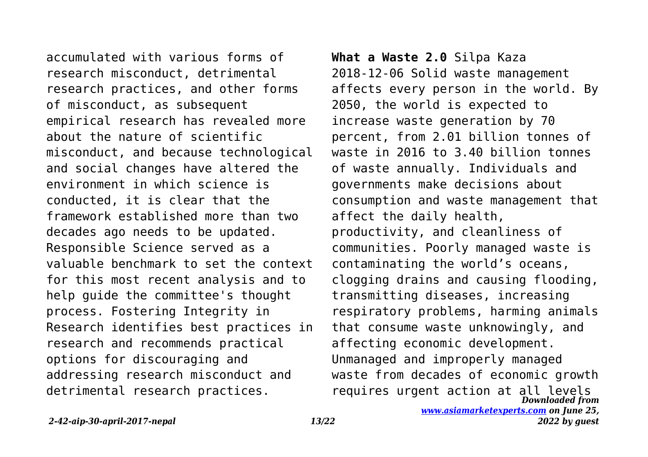accumulated with various forms of research misconduct, detrimental research practices, and other forms of misconduct, as subsequent empirical research has revealed more about the nature of scientific misconduct, and because technological and social changes have altered the environment in which science is conducted, it is clear that the framework established more than two decades ago needs to be updated. Responsible Science served as a valuable benchmark to set the context for this most recent analysis and to help guide the committee's thought process. Fostering Integrity in Research identifies best practices in research and recommends practical options for discouraging and addressing research misconduct and detrimental research practices.

*Downloaded from* **What a Waste 2.0** Silpa Kaza 2018-12-06 Solid waste management affects every person in the world. By 2050, the world is expected to increase waste generation by 70 percent, from 2.01 billion tonnes of waste in 2016 to 3.40 billion tonnes of waste annually. Individuals and governments make decisions about consumption and waste management that affect the daily health, productivity, and cleanliness of communities. Poorly managed waste is contaminating the world's oceans, clogging drains and causing flooding, transmitting diseases, increasing respiratory problems, harming animals that consume waste unknowingly, and affecting economic development. Unmanaged and improperly managed waste from decades of economic growth requires urgent action at all levels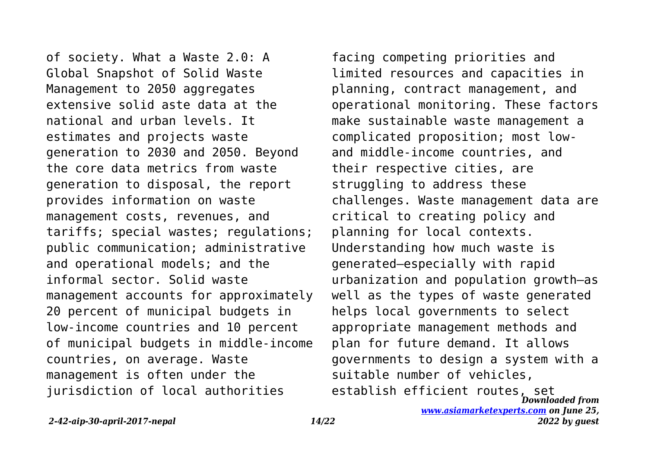of society. What a Waste 2.0: A Global Snapshot of Solid Waste Management to 2050 aggregates extensive solid aste data at the national and urban levels. It estimates and projects waste generation to 2030 and 2050. Beyond the core data metrics from waste generation to disposal, the report provides information on waste management costs, revenues, and tariffs; special wastes; regulations; public communication; administrative and operational models; and the informal sector. Solid waste management accounts for approximately 20 percent of municipal budgets in low-income countries and 10 percent of municipal budgets in middle-income countries, on average. Waste management is often under the jurisdiction of local authorities

*Downloaded from* establish efficient routes, setfacing competing priorities and limited resources and capacities in planning, contract management, and operational monitoring. These factors make sustainable waste management a complicated proposition; most lowand middle-income countries, and their respective cities, are struggling to address these challenges. Waste management data are critical to creating policy and planning for local contexts. Understanding how much waste is generated—especially with rapid urbanization and population growth—as well as the types of waste generated helps local governments to select appropriate management methods and plan for future demand. It allows governments to design a system with a suitable number of vehicles,

*2-42-aip-30-april-2017-nepal 14/22*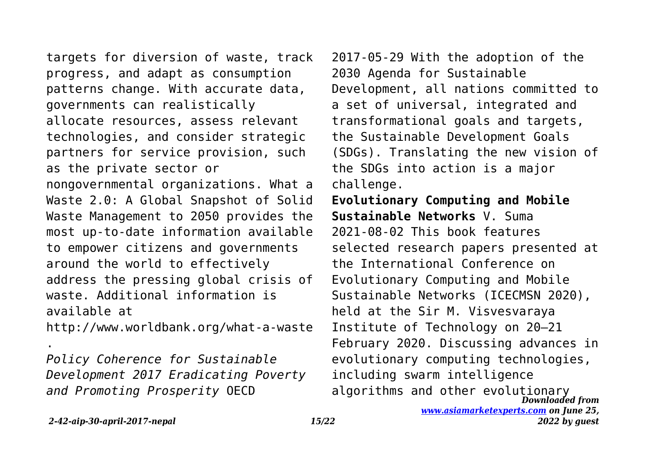targets for diversion of waste, track progress, and adapt as consumption patterns change. With accurate data, governments can realistically allocate resources, assess relevant technologies, and consider strategic partners for service provision, such as the private sector or nongovernmental organizations. What a Waste 2.0: A Global Snapshot of Solid Waste Management to 2050 provides the most up-to-date information available to empower citizens and governments around the world to effectively address the pressing global crisis of waste. Additional information is available at

http://www.worldbank.org/what-a-waste

*Policy Coherence for Sustainable Development 2017 Eradicating Poverty and Promoting Prosperity* OECD

2017-05-29 With the adoption of the 2030 Agenda for Sustainable Development, all nations committed to a set of universal, integrated and transformational goals and targets, the Sustainable Development Goals (SDGs). Translating the new vision of the SDGs into action is a major challenge.

*Downloaded from* **Evolutionary Computing and Mobile Sustainable Networks** V. Suma 2021-08-02 This book features selected research papers presented at the International Conference on Evolutionary Computing and Mobile Sustainable Networks (ICECMSN 2020), held at the Sir M. Visvesvaraya Institute of Technology on 20–21 February 2020. Discussing advances in evolutionary computing technologies, including swarm intelligence algorithms and other evolutionary

.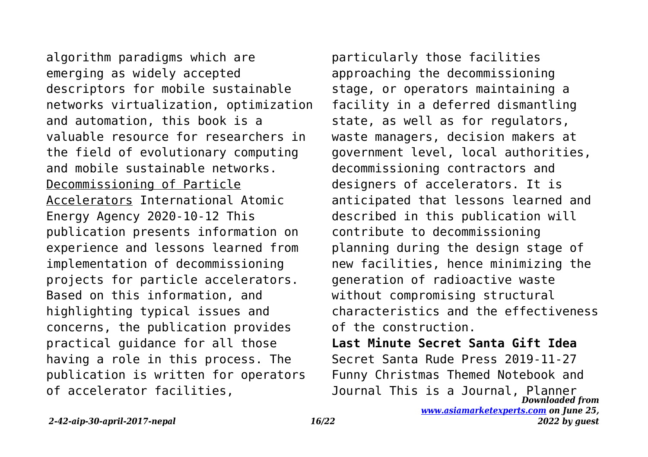algorithm paradigms which are emerging as widely accepted descriptors for mobile sustainable networks virtualization, optimization and automation, this book is a valuable resource for researchers in the field of evolutionary computing and mobile sustainable networks. Decommissioning of Particle Accelerators International Atomic Energy Agency 2020-10-12 This publication presents information on experience and lessons learned from implementation of decommissioning projects for particle accelerators. Based on this information, and highlighting typical issues and concerns, the publication provides practical guidance for all those having a role in this process. The publication is written for operators of accelerator facilities,

particularly those facilities approaching the decommissioning stage, or operators maintaining a facility in a deferred dismantling state, as well as for regulators, waste managers, decision makers at government level, local authorities, decommissioning contractors and designers of accelerators. It is anticipated that lessons learned and described in this publication will contribute to decommissioning planning during the design stage of new facilities, hence minimizing the generation of radioactive waste without compromising structural characteristics and the effectiveness of the construction.

*Downloaded from [www.asiamarketexperts.com](https://www.asiamarketexperts.com) on June 25,* **Last Minute Secret Santa Gift Idea** Secret Santa Rude Press 2019-11-27 Funny Christmas Themed Notebook and Journal This is a Journal, Planner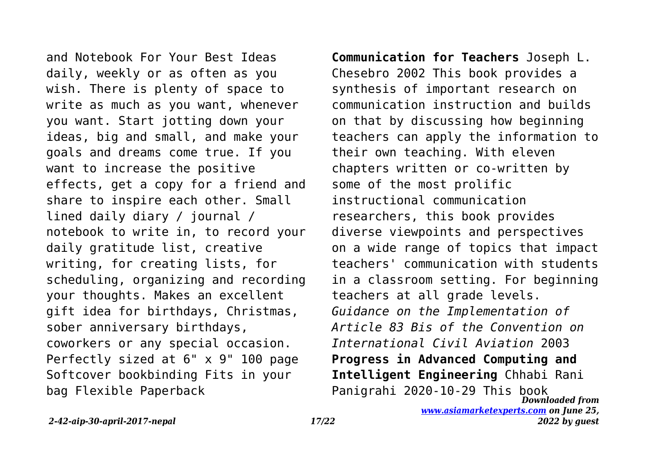and Notebook For Your Best Ideas daily, weekly or as often as you wish. There is plenty of space to write as much as you want, whenever you want. Start jotting down your ideas, big and small, and make your goals and dreams come true. If you want to increase the positive effects, get a copy for a friend and share to inspire each other. Small lined daily diary / journal / notebook to write in, to record your daily gratitude list, creative writing, for creating lists, for scheduling, organizing and recording your thoughts. Makes an excellent gift idea for birthdays, Christmas, sober anniversary birthdays, coworkers or any special occasion. Perfectly sized at 6" x 9" 100 page Softcover bookbinding Fits in your bag Flexible Paperback

*Downloaded from* **Communication for Teachers** Joseph L. Chesebro 2002 This book provides a synthesis of important research on communication instruction and builds on that by discussing how beginning teachers can apply the information to their own teaching. With eleven chapters written or co-written by some of the most prolific instructional communication researchers, this book provides diverse viewpoints and perspectives on a wide range of topics that impact teachers' communication with students in a classroom setting. For beginning teachers at all grade levels. *Guidance on the Implementation of Article 83 Bis of the Convention on International Civil Aviation* 2003 **Progress in Advanced Computing and Intelligent Engineering** Chhabi Rani Panigrahi 2020-10-29 This book

*[www.asiamarketexperts.com](https://www.asiamarketexperts.com) on June 25,*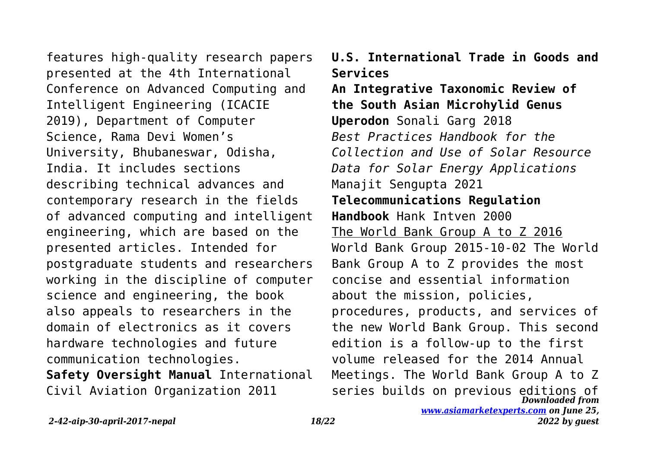features high-quality research papers presented at the 4th International Conference on Advanced Computing and Intelligent Engineering (ICACIE 2019), Department of Computer Science, Rama Devi Women's University, Bhubaneswar, Odisha, India. It includes sections describing technical advances and contemporary research in the fields of advanced computing and intelligent engineering, which are based on the presented articles. Intended for postgraduate students and researchers working in the discipline of computer science and engineering, the book also appeals to researchers in the domain of electronics as it covers hardware technologies and future communication technologies. **Safety Oversight Manual** International

Civil Aviation Organization 2011

**U.S. International Trade in Goods and Services**

*Downloaded from* **An Integrative Taxonomic Review of the South Asian Microhylid Genus Uperodon** Sonali Garg 2018 *Best Practices Handbook for the Collection and Use of Solar Resource Data for Solar Energy Applications* Manajit Sengupta 2021 **Telecommunications Regulation Handbook** Hank Intven 2000 The World Bank Group A to Z 2016 World Bank Group 2015-10-02 The World Bank Group A to Z provides the most concise and essential information about the mission, policies, procedures, products, and services of the new World Bank Group. This second edition is a follow-up to the first volume released for the 2014 Annual Meetings. The World Bank Group A to Z series builds on previous editions of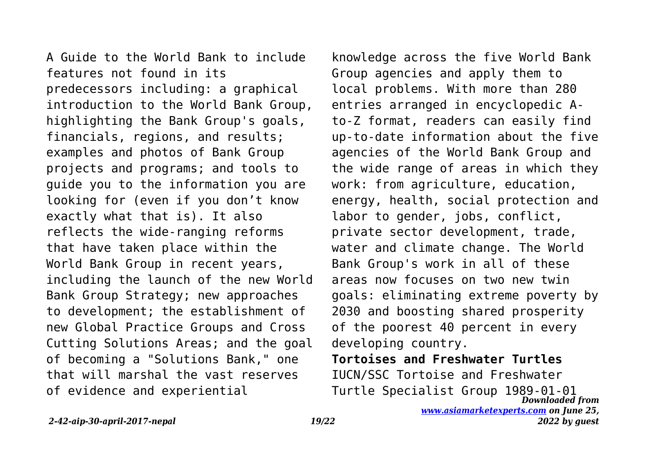A Guide to the World Bank to include features not found in its predecessors including: a graphical introduction to the World Bank Group, highlighting the Bank Group's goals, financials, regions, and results; examples and photos of Bank Group projects and programs; and tools to guide you to the information you are looking for (even if you don't know exactly what that is). It also reflects the wide-ranging reforms that have taken place within the World Bank Group in recent years, including the launch of the new World Bank Group Strategy; new approaches to development; the establishment of new Global Practice Groups and Cross Cutting Solutions Areas; and the goal of becoming a "Solutions Bank," one that will marshal the vast reserves of evidence and experiential

knowledge across the five World Bank Group agencies and apply them to local problems. With more than 280 entries arranged in encyclopedic Ato-Z format, readers can easily find up-to-date information about the five agencies of the World Bank Group and the wide range of areas in which they work: from agriculture, education, energy, health, social protection and labor to gender, jobs, conflict, private sector development, trade, water and climate change. The World Bank Group's work in all of these areas now focuses on two new twin goals: eliminating extreme poverty by 2030 and boosting shared prosperity of the poorest 40 percent in every developing country.

*Downloaded from [www.asiamarketexperts.com](https://www.asiamarketexperts.com) on June 25,* **Tortoises and Freshwater Turtles** IUCN/SSC Tortoise and Freshwater Turtle Specialist Group 1989-01-01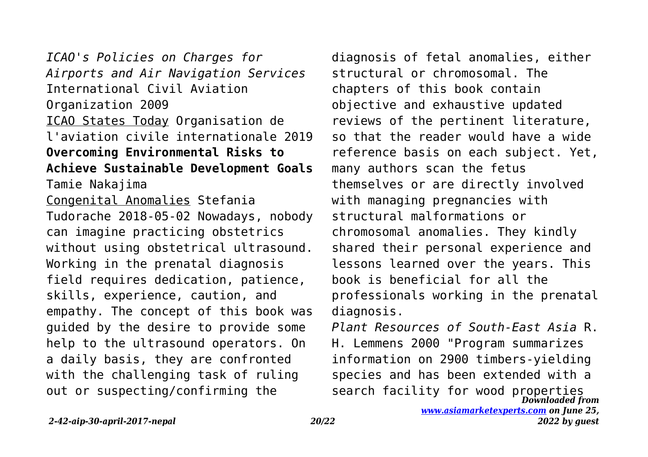*ICAO's Policies on Charges for Airports and Air Navigation Services* International Civil Aviation Organization 2009 ICAO States Today Organisation de l'aviation civile internationale 2019 **Overcoming Environmental Risks to Achieve Sustainable Development Goals** Tamie Nakajima Congenital Anomalies Stefania Tudorache 2018-05-02 Nowadays, nobody can imagine practicing obstetrics without using obstetrical ultrasound. Working in the prenatal diagnosis field requires dedication, patience, skills, experience, caution, and empathy. The concept of this book was guided by the desire to provide some help to the ultrasound operators. On a daily basis, they are confronted with the challenging task of ruling out or suspecting/confirming the

diagnosis of fetal anomalies, either structural or chromosomal. The chapters of this book contain objective and exhaustive updated reviews of the pertinent literature, so that the reader would have a wide reference basis on each subject. Yet, many authors scan the fetus themselves or are directly involved with managing pregnancies with structural malformations or chromosomal anomalies. They kindly shared their personal experience and lessons learned over the years. This book is beneficial for all the professionals working in the prenatal diagnosis.

*Downloaded from Plant Resources of South-East Asia* R. H. Lemmens 2000 "Program summarizes information on 2900 timbers-yielding species and has been extended with a search facility for wood properties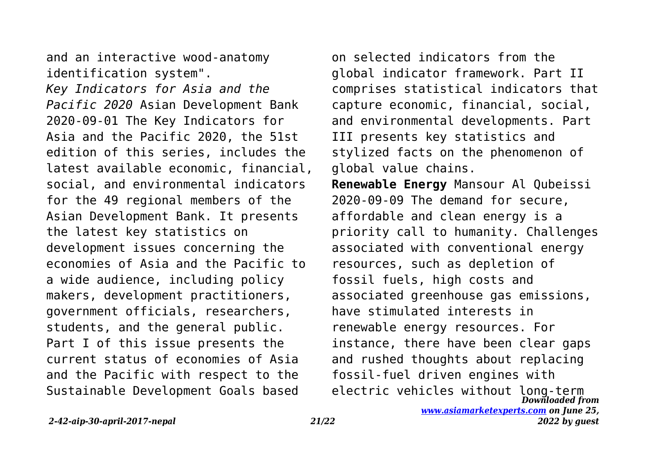and an interactive wood-anatomy identification system".

*Key Indicators for Asia and the Pacific 2020* Asian Development Bank 2020-09-01 The Key Indicators for Asia and the Pacific 2020, the 51st edition of this series, includes the latest available economic, financial, social, and environmental indicators for the 49 regional members of the Asian Development Bank. It presents the latest key statistics on development issues concerning the economies of Asia and the Pacific to a wide audience, including policy makers, development practitioners, government officials, researchers, students, and the general public. Part I of this issue presents the current status of economies of Asia and the Pacific with respect to the Sustainable Development Goals based

*Downloaded from* on selected indicators from the global indicator framework. Part II comprises statistical indicators that capture economic, financial, social, and environmental developments. Part III presents key statistics and stylized facts on the phenomenon of global value chains. **Renewable Energy** Mansour Al Qubeissi 2020-09-09 The demand for secure, affordable and clean energy is a priority call to humanity. Challenges associated with conventional energy resources, such as depletion of fossil fuels, high costs and associated greenhouse gas emissions, have stimulated interests in renewable energy resources. For instance, there have been clear gaps and rushed thoughts about replacing fossil-fuel driven engines with electric vehicles without long-term